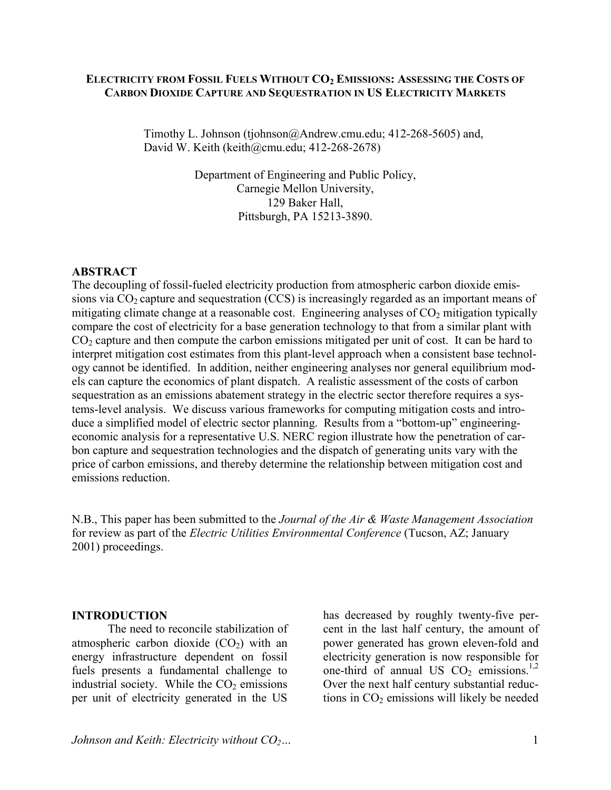#### **ELECTRICITY FROM FOSSIL FUELS WITHOUT CO2 EMISSIONS: ASSESSING THE COSTS OF CARBON DIOXIDE CAPTURE AND SEQUESTRATION IN US ELECTRICITY MARKETS**

Timothy L. Johnson (tjohnson@Andrew.cmu.edu; 412-268-5605) and, David W. Keith (keith@cmu.edu; 412-268-2678)

> Department of Engineering and Public Policy, Carnegie Mellon University, 129 Baker Hall, Pittsburgh, PA 15213-3890.

#### **ABSTRACT**

The decoupling of fossil-fueled electricity production from atmospheric carbon dioxide emissions via  $CO<sub>2</sub>$  capture and sequestration (CCS) is increasingly regarded as an important means of mitigating climate change at a reasonable cost. Engineering analyses of  $CO<sub>2</sub>$  mitigation typically compare the cost of electricity for a base generation technology to that from a similar plant with  $CO<sub>2</sub>$  capture and then compute the carbon emissions mitigated per unit of cost. It can be hard to interpret mitigation cost estimates from this plant-level approach when a consistent base technology cannot be identified. In addition, neither engineering analyses nor general equilibrium models can capture the economics of plant dispatch. A realistic assessment of the costs of carbon sequestration as an emissions abatement strategy in the electric sector therefore requires a systems-level analysis. We discuss various frameworks for computing mitigation costs and introduce a simplified model of electric sector planning. Results from a "bottom-up" engineeringeconomic analysis for a representative U.S. NERC region illustrate how the penetration of carbon capture and sequestration technologies and the dispatch of generating units vary with the price of carbon emissions, and thereby determine the relationship between mitigation cost and emissions reduction.

N.B., This paper has been submitted to the *Journal of the Air & Waste Management Association* for review as part of the *Electric Utilities Environmental Conference* (Tucson, AZ; January 2001) proceedings.

#### **INTRODUCTION**

 The need to reconcile stabilization of atmospheric carbon dioxide  $(CO<sub>2</sub>)$  with an energy infrastructure dependent on fossil fuels presents a fundamental challenge to industrial society. While the  $CO<sub>2</sub>$  emissions per unit of electricity generated in the US

has decreased by roughly twenty-five percent in the last half century, the amount of power generated has grown eleven-fold and electricity generation is now responsible for one-third of annual US  $CO<sub>2</sub>$  emissions.<sup>1,2</sup> Over the next half century substantial reductions in  $CO<sub>2</sub>$  emissions will likely be needed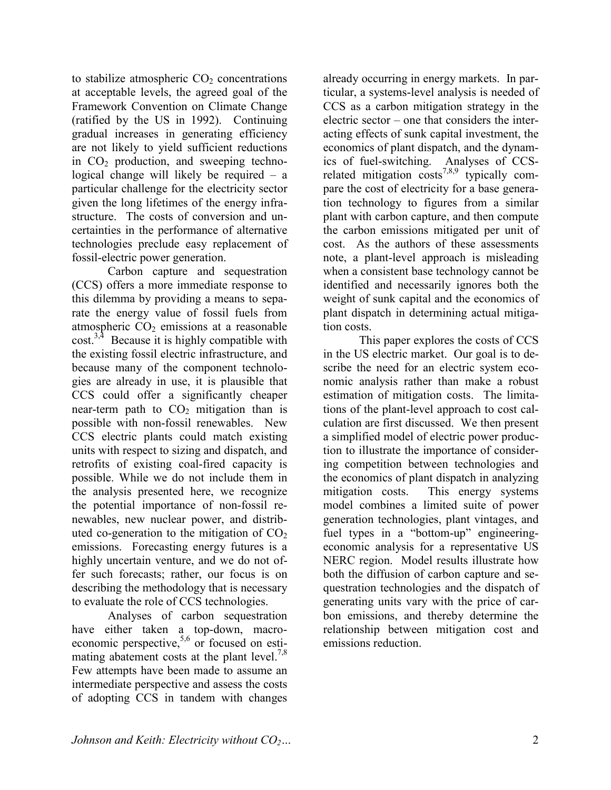to stabilize atmospheric  $CO<sub>2</sub>$  concentrations at acceptable levels, the agreed goal of the Framework Convention on Climate Change (ratified by the US in 1992). Continuing gradual increases in generating efficiency are not likely to yield sufficient reductions in  $CO<sub>2</sub>$  production, and sweeping technological change will likely be required – a particular challenge for the electricity sector given the long lifetimes of the energy infrastructure. The costs of conversion and uncertainties in the performance of alternative technologies preclude easy replacement of fossil-electric power generation.

 Carbon capture and sequestration (CCS) offers a more immediate response to this dilemma by providing a means to separate the energy value of fossil fuels from atmospheric  $CO<sub>2</sub>$  emissions at a reasonable  $\text{cost}^{3,4}$  Because it is highly compatible with the existing fossil electric infrastructure, and because many of the component technologies are already in use, it is plausible that CCS could offer a significantly cheaper near-term path to  $CO<sub>2</sub>$  mitigation than is possible with non-fossil renewables. New CCS electric plants could match existing units with respect to sizing and dispatch, and retrofits of existing coal-fired capacity is possible. While we do not include them in the analysis presented here, we recognize the potential importance of non-fossil renewables, new nuclear power, and distributed co-generation to the mitigation of  $CO<sub>2</sub>$ emissions. Forecasting energy futures is a highly uncertain venture, and we do not offer such forecasts; rather, our focus is on describing the methodology that is necessary to evaluate the role of CCS technologies.

 Analyses of carbon sequestration have either taken a top-down, macroeconomic perspective,  $5,6$  or focused on estimating abatement costs at the plant level.<sup>7,8</sup> Few attempts have been made to assume an intermediate perspective and assess the costs of adopting CCS in tandem with changes

already occurring in energy markets. In particular, a systems-level analysis is needed of CCS as a carbon mitigation strategy in the electric sector – one that considers the interacting effects of sunk capital investment, the economics of plant dispatch, and the dynamics of fuel-switching. Analyses of CCSrelated mitigation costs<sup>7,8,9</sup> typically compare the cost of electricity for a base generation technology to figures from a similar plant with carbon capture, and then compute the carbon emissions mitigated per unit of cost. As the authors of these assessments note, a plant-level approach is misleading when a consistent base technology cannot be identified and necessarily ignores both the weight of sunk capital and the economics of plant dispatch in determining actual mitigation costs.

 This paper explores the costs of CCS in the US electric market. Our goal is to describe the need for an electric system economic analysis rather than make a robust estimation of mitigation costs. The limitations of the plant-level approach to cost calculation are first discussed. We then present a simplified model of electric power production to illustrate the importance of considering competition between technologies and the economics of plant dispatch in analyzing mitigation costs. This energy systems model combines a limited suite of power generation technologies, plant vintages, and fuel types in a "bottom-up" engineeringeconomic analysis for a representative US NERC region. Model results illustrate how both the diffusion of carbon capture and sequestration technologies and the dispatch of generating units vary with the price of carbon emissions, and thereby determine the relationship between mitigation cost and emissions reduction.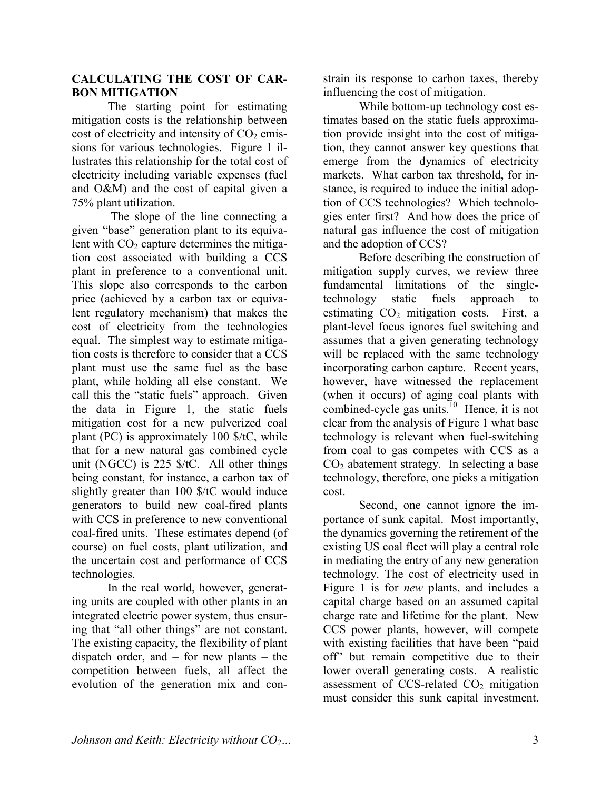## **CALCULATING THE COST OF CAR-BON MITIGATION**

 The starting point for estimating mitigation costs is the relationship between cost of electricity and intensity of  $CO<sub>2</sub>$  emissions for various technologies. Figure 1 illustrates this relationship for the total cost of electricity including variable expenses (fuel and O&M) and the cost of capital given a 75% plant utilization.

 The slope of the line connecting a given "base" generation plant to its equivalent with  $CO<sub>2</sub>$  capture determines the mitigation cost associated with building a CCS plant in preference to a conventional unit. This slope also corresponds to the carbon price (achieved by a carbon tax or equivalent regulatory mechanism) that makes the cost of electricity from the technologies equal. The simplest way to estimate mitigation costs is therefore to consider that a CCS plant must use the same fuel as the base plant, while holding all else constant. We call this the "static fuels" approach. Given the data in Figure 1, the static fuels mitigation cost for a new pulverized coal plant (PC) is approximately 100 \$/tC, while that for a new natural gas combined cycle unit (NGCC) is 225 \$/tC. All other things being constant, for instance, a carbon tax of slightly greater than 100 \$/tC would induce generators to build new coal-fired plants with CCS in preference to new conventional coal-fired units. These estimates depend (of course) on fuel costs, plant utilization, and the uncertain cost and performance of CCS technologies.

 In the real world, however, generating units are coupled with other plants in an integrated electric power system, thus ensuring that "all other things" are not constant. The existing capacity, the flexibility of plant dispatch order, and – for new plants – the competition between fuels, all affect the evolution of the generation mix and constrain its response to carbon taxes, thereby influencing the cost of mitigation.

While bottom-up technology cost estimates based on the static fuels approximation provide insight into the cost of mitigation, they cannot answer key questions that emerge from the dynamics of electricity markets. What carbon tax threshold, for instance, is required to induce the initial adoption of CCS technologies? Which technologies enter first? And how does the price of natural gas influence the cost of mitigation and the adoption of CCS?

Before describing the construction of mitigation supply curves, we review three fundamental limitations of the singletechnology static fuels approach to estimating  $CO<sub>2</sub>$  mitigation costs. First, a plant-level focus ignores fuel switching and assumes that a given generating technology will be replaced with the same technology incorporating carbon capture. Recent years, however, have witnessed the replacement (when it occurs) of aging coal plants with combined-cycle gas units.<sup>10</sup> Hence, it is not clear from the analysis of Figure 1 what base technology is relevant when fuel-switching from coal to gas competes with CCS as a  $CO<sub>2</sub>$  abatement strategy. In selecting a base technology, therefore, one picks a mitigation cost.

 Second, one cannot ignore the importance of sunk capital. Most importantly, the dynamics governing the retirement of the existing US coal fleet will play a central role in mediating the entry of any new generation technology. The cost of electricity used in Figure 1 is for *new* plants, and includes a capital charge based on an assumed capital charge rate and lifetime for the plant. New CCS power plants, however, will compete with existing facilities that have been "paid off" but remain competitive due to their lower overall generating costs. A realistic assessment of CCS-related  $CO<sub>2</sub>$  mitigation must consider this sunk capital investment.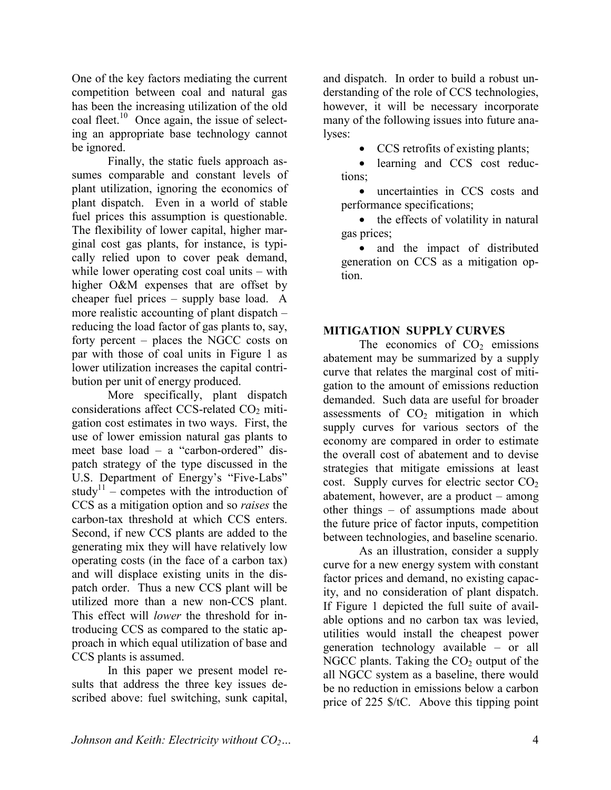One of the key factors mediating the current competition between coal and natural gas has been the increasing utilization of the old coal fleet.<sup>10</sup> Once again, the issue of selecting an appropriate base technology cannot be ignored.

 Finally, the static fuels approach assumes comparable and constant levels of plant utilization, ignoring the economics of plant dispatch. Even in a world of stable fuel prices this assumption is questionable. The flexibility of lower capital, higher marginal cost gas plants, for instance, is typically relied upon to cover peak demand, while lower operating cost coal units – with higher O&M expenses that are offset by cheaper fuel prices – supply base load. A more realistic accounting of plant dispatch – reducing the load factor of gas plants to, say, forty percent – places the NGCC costs on par with those of coal units in Figure 1 as lower utilization increases the capital contribution per unit of energy produced.

 More specifically, plant dispatch considerations affect CCS-related  $CO<sub>2</sub>$  mitigation cost estimates in two ways. First, the use of lower emission natural gas plants to meet base load – a "carbon-ordered" dispatch strategy of the type discussed in the U.S. Department of Energy's "Five-Labs" study<sup>11</sup> – competes with the introduction of CCS as a mitigation option and so *raises* the carbon-tax threshold at which CCS enters. Second, if new CCS plants are added to the generating mix they will have relatively low operating costs (in the face of a carbon tax) and will displace existing units in the dispatch order. Thus a new CCS plant will be utilized more than a new non-CCS plant. This effect will *lower* the threshold for introducing CCS as compared to the static approach in which equal utilization of base and CCS plants is assumed.

 In this paper we present model results that address the three key issues described above: fuel switching, sunk capital, and dispatch. In order to build a robust understanding of the role of CCS technologies, however, it will be necessary incorporate many of the following issues into future analyses:

• CCS retrofits of existing plants;

• learning and CCS cost reductions;

• uncertainties in CCS costs and performance specifications;

• the effects of volatility in natural gas prices;

• and the impact of distributed generation on CCS as a mitigation option.

## **MITIGATION SUPPLY CURVES**

The economics of  $CO<sub>2</sub>$  emissions abatement may be summarized by a supply curve that relates the marginal cost of mitigation to the amount of emissions reduction demanded. Such data are useful for broader assessments of  $CO<sub>2</sub>$  mitigation in which supply curves for various sectors of the economy are compared in order to estimate the overall cost of abatement and to devise strategies that mitigate emissions at least cost. Supply curves for electric sector  $CO<sub>2</sub>$ abatement, however, are a product – among other things – of assumptions made about the future price of factor inputs, competition between technologies, and baseline scenario.

As an illustration, consider a supply curve for a new energy system with constant factor prices and demand, no existing capacity, and no consideration of plant dispatch. If Figure 1 depicted the full suite of available options and no carbon tax was levied, utilities would install the cheapest power generation technology available – or all NGCC plants. Taking the  $CO<sub>2</sub>$  output of the all NGCC system as a baseline, there would be no reduction in emissions below a carbon price of 225 \$/tC. Above this tipping point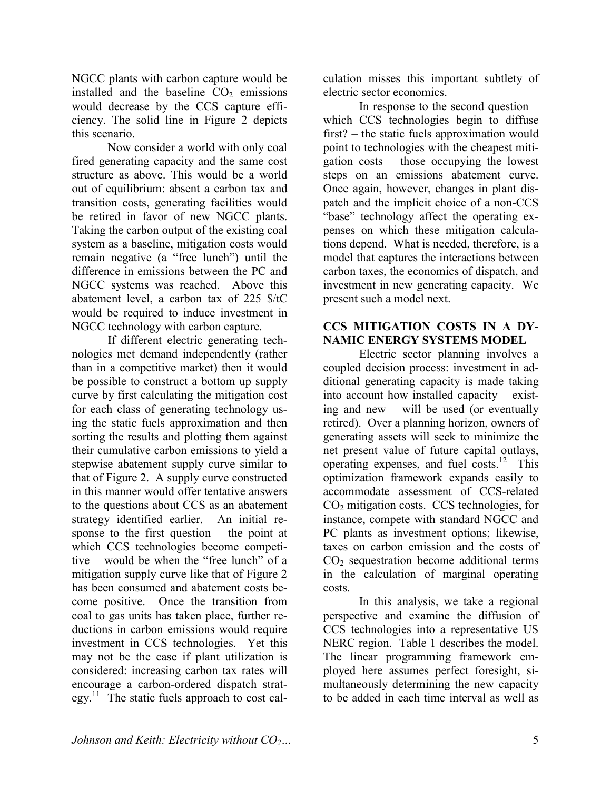NGCC plants with carbon capture would be installed and the baseline  $CO<sub>2</sub>$  emissions would decrease by the CCS capture efficiency. The solid line in Figure 2 depicts this scenario.

 Now consider a world with only coal fired generating capacity and the same cost structure as above. This would be a world out of equilibrium: absent a carbon tax and transition costs, generating facilities would be retired in favor of new NGCC plants. Taking the carbon output of the existing coal system as a baseline, mitigation costs would remain negative (a "free lunch") until the difference in emissions between the PC and NGCC systems was reached. Above this abatement level, a carbon tax of 225 \$/tC would be required to induce investment in NGCC technology with carbon capture.

 If different electric generating technologies met demand independently (rather than in a competitive market) then it would be possible to construct a bottom up supply curve by first calculating the mitigation cost for each class of generating technology using the static fuels approximation and then sorting the results and plotting them against their cumulative carbon emissions to yield a stepwise abatement supply curve similar to that of Figure 2. A supply curve constructed in this manner would offer tentative answers to the questions about CCS as an abatement strategy identified earlier. An initial response to the first question – the point at which CCS technologies become competitive – would be when the "free lunch" of a mitigation supply curve like that of Figure 2 has been consumed and abatement costs become positive. Once the transition from coal to gas units has taken place, further reductions in carbon emissions would require investment in CCS technologies. Yet this may not be the case if plant utilization is considered: increasing carbon tax rates will encourage a carbon-ordered dispatch strat $egy$ <sup>11</sup>. The static fuels approach to cost cal-

culation misses this important subtlety of electric sector economics.

 In response to the second question – which CCS technologies begin to diffuse first? – the static fuels approximation would point to technologies with the cheapest mitigation costs – those occupying the lowest steps on an emissions abatement curve. Once again, however, changes in plant dispatch and the implicit choice of a non-CCS "base" technology affect the operating expenses on which these mitigation calculations depend. What is needed, therefore, is a model that captures the interactions between carbon taxes, the economics of dispatch, and investment in new generating capacity. We present such a model next.

## **CCS MITIGATION COSTS IN A DY-NAMIC ENERGY SYSTEMS MODEL**

 Electric sector planning involves a coupled decision process: investment in additional generating capacity is made taking into account how installed capacity – existing and new – will be used (or eventually retired). Over a planning horizon, owners of generating assets will seek to minimize the net present value of future capital outlays, operating expenses, and fuel costs.<sup>12</sup> This optimization framework expands easily to accommodate assessment of CCS-related  $CO<sub>2</sub>$  mitigation costs. CCS technologies, for instance, compete with standard NGCC and PC plants as investment options; likewise, taxes on carbon emission and the costs of  $CO<sub>2</sub>$  sequestration become additional terms in the calculation of marginal operating costs.

 In this analysis, we take a regional perspective and examine the diffusion of CCS technologies into a representative US NERC region. Table 1 describes the model. The linear programming framework employed here assumes perfect foresight, simultaneously determining the new capacity to be added in each time interval as well as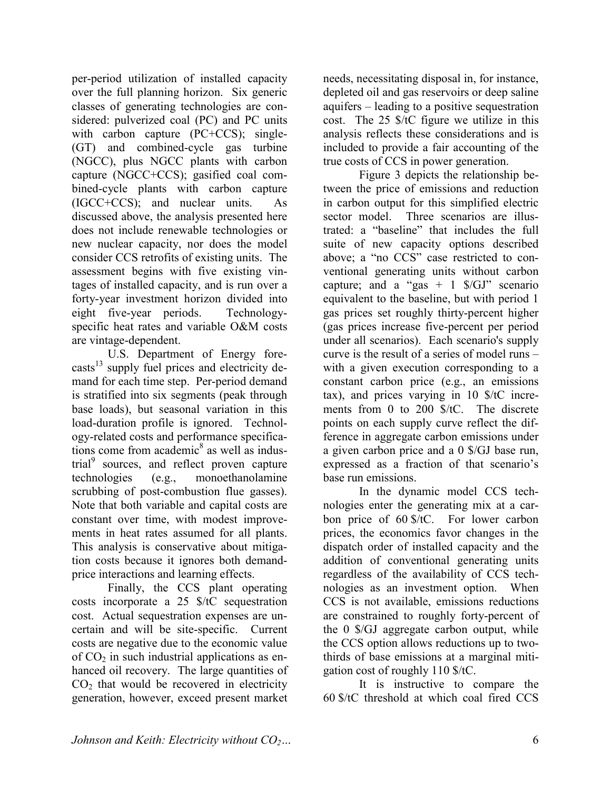per-period utilization of installed capacity over the full planning horizon. Six generic classes of generating technologies are considered: pulverized coal (PC) and PC units with carbon capture (PC+CCS); single-(GT) and combined-cycle gas turbine (NGCC), plus NGCC plants with carbon capture (NGCC+CCS); gasified coal combined-cycle plants with carbon capture (IGCC+CCS); and nuclear units. As discussed above, the analysis presented here does not include renewable technologies or new nuclear capacity, nor does the model consider CCS retrofits of existing units. The assessment begins with five existing vintages of installed capacity, and is run over a forty-year investment horizon divided into eight five-year periods. Technologyspecific heat rates and variable O&M costs are vintage-dependent.

 U.S. Department of Energy fore- $\text{casts}^{13}$  supply fuel prices and electricity demand for each time step. Per-period demand is stratified into six segments (peak through base loads), but seasonal variation in this load-duration profile is ignored. Technology-related costs and performance specifications come from academic $\delta$  as well as industrial<sup>9</sup> sources, and reflect proven capture technologies (e.g., monoethanolamine scrubbing of post-combustion flue gasses). Note that both variable and capital costs are constant over time, with modest improvements in heat rates assumed for all plants. This analysis is conservative about mitigation costs because it ignores both demandprice interactions and learning effects.

 Finally, the CCS plant operating costs incorporate a 25 \$/tC sequestration cost. Actual sequestration expenses are uncertain and will be site-specific. Current costs are negative due to the economic value of  $CO<sub>2</sub>$  in such industrial applications as enhanced oil recovery. The large quantities of  $CO<sub>2</sub>$  that would be recovered in electricity generation, however, exceed present market needs, necessitating disposal in, for instance, depleted oil and gas reservoirs or deep saline aquifers – leading to a positive sequestration cost. The 25 \$/tC figure we utilize in this analysis reflects these considerations and is included to provide a fair accounting of the true costs of CCS in power generation.

 Figure 3 depicts the relationship between the price of emissions and reduction in carbon output for this simplified electric sector model. Three scenarios are illustrated: a "baseline" that includes the full suite of new capacity options described above; a "no CCS" case restricted to conventional generating units without carbon capture; and a "gas + 1  $\sqrt{(}GJ$ " scenario equivalent to the baseline, but with period 1 gas prices set roughly thirty-percent higher (gas prices increase five-percent per period under all scenarios). Each scenario's supply curve is the result of a series of model runs – with a given execution corresponding to a constant carbon price (e.g., an emissions tax), and prices varying in 10 \$/tC increments from 0 to 200 \$/tC. The discrete points on each supply curve reflect the difference in aggregate carbon emissions under a given carbon price and a 0 \$/GJ base run, expressed as a fraction of that scenario's base run emissions.

 In the dynamic model CCS technologies enter the generating mix at a carbon price of 60 \$/tC. For lower carbon prices, the economics favor changes in the dispatch order of installed capacity and the addition of conventional generating units regardless of the availability of CCS technologies as an investment option. When CCS is not available, emissions reductions are constrained to roughly forty-percent of the 0 \$/GJ aggregate carbon output, while the CCS option allows reductions up to twothirds of base emissions at a marginal mitigation cost of roughly 110 \$/tC.

 It is instructive to compare the 60 \$/tC threshold at which coal fired CCS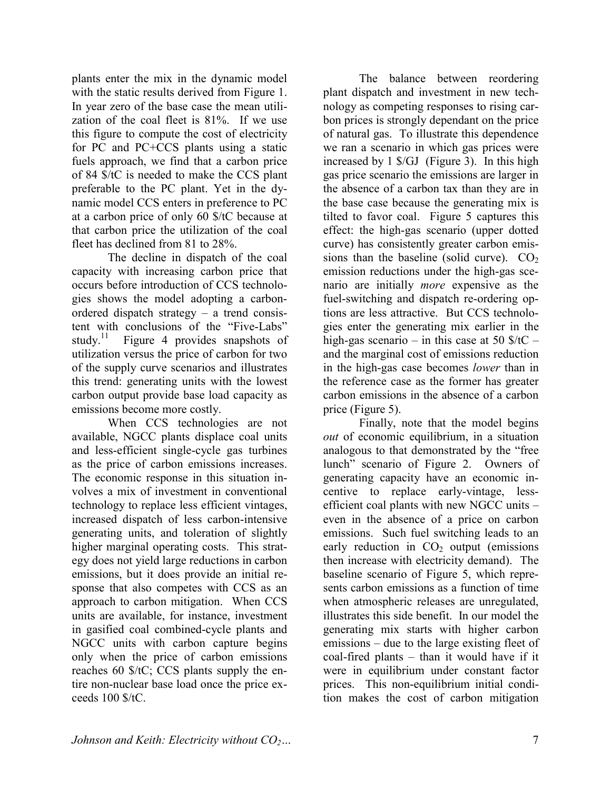plants enter the mix in the dynamic model with the static results derived from Figure 1. In year zero of the base case the mean utilization of the coal fleet is 81%. If we use this figure to compute the cost of electricity for PC and PC+CCS plants using a static fuels approach, we find that a carbon price of 84 \$/tC is needed to make the CCS plant preferable to the PC plant. Yet in the dynamic model CCS enters in preference to PC at a carbon price of only 60 \$/tC because at that carbon price the utilization of the coal fleet has declined from 81 to 28%.

 The decline in dispatch of the coal capacity with increasing carbon price that occurs before introduction of CCS technologies shows the model adopting a carbonordered dispatch strategy – a trend consistent with conclusions of the "Five-Labs" study.<sup>11</sup> Figure 4 provides snapshots of utilization versus the price of carbon for two of the supply curve scenarios and illustrates this trend: generating units with the lowest carbon output provide base load capacity as emissions become more costly.

 When CCS technologies are not available, NGCC plants displace coal units and less-efficient single-cycle gas turbines as the price of carbon emissions increases. The economic response in this situation involves a mix of investment in conventional technology to replace less efficient vintages, increased dispatch of less carbon-intensive generating units, and toleration of slightly higher marginal operating costs. This strategy does not yield large reductions in carbon emissions, but it does provide an initial response that also competes with CCS as an approach to carbon mitigation. When CCS units are available, for instance, investment in gasified coal combined-cycle plants and NGCC units with carbon capture begins only when the price of carbon emissions reaches 60 \$/tC; CCS plants supply the entire non-nuclear base load once the price exceeds 100 \$/tC.

 The balance between reordering plant dispatch and investment in new technology as competing responses to rising carbon prices is strongly dependant on the price of natural gas. To illustrate this dependence we ran a scenario in which gas prices were increased by 1 \$/GJ (Figure 3). In this high gas price scenario the emissions are larger in the absence of a carbon tax than they are in the base case because the generating mix is tilted to favor coal. Figure 5 captures this effect: the high-gas scenario (upper dotted curve) has consistently greater carbon emissions than the baseline (solid curve).  $CO<sub>2</sub>$ emission reductions under the high-gas scenario are initially *more* expensive as the fuel-switching and dispatch re-ordering options are less attractive. But CCS technologies enter the generating mix earlier in the high-gas scenario – in this case at 50  $\frac{\text{C}}{\text{C}}$  – and the marginal cost of emissions reduction in the high-gas case becomes *lower* than in the reference case as the former has greater carbon emissions in the absence of a carbon price (Figure 5).

 Finally, note that the model begins *out* of economic equilibrium, in a situation analogous to that demonstrated by the "free lunch" scenario of Figure 2. Owners of generating capacity have an economic incentive to replace early-vintage, lessefficient coal plants with new NGCC units – even in the absence of a price on carbon emissions. Such fuel switching leads to an early reduction in  $CO<sub>2</sub>$  output (emissions then increase with electricity demand). The baseline scenario of Figure 5, which represents carbon emissions as a function of time when atmospheric releases are unregulated, illustrates this side benefit. In our model the generating mix starts with higher carbon emissions – due to the large existing fleet of coal-fired plants – than it would have if it were in equilibrium under constant factor prices. This non-equilibrium initial condition makes the cost of carbon mitigation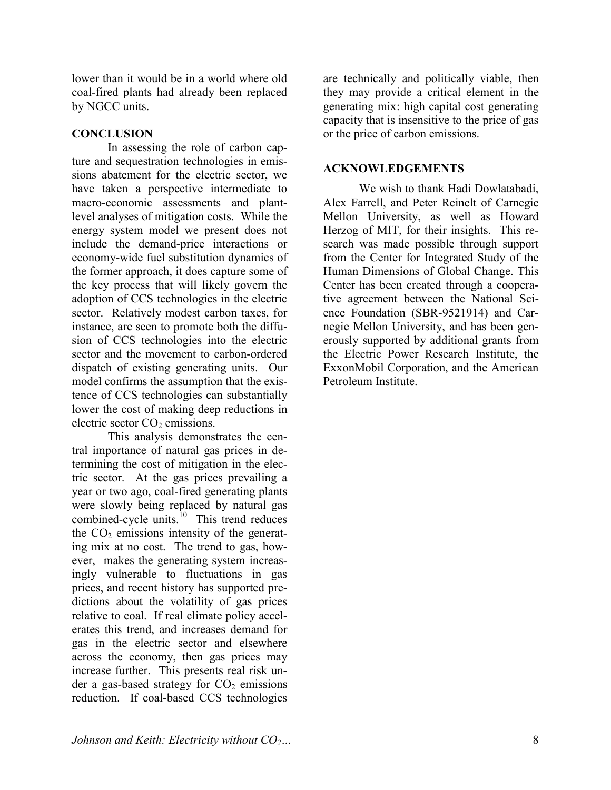lower than it would be in a world where old coal-fired plants had already been replaced by NGCC units.

### **CONCLUSION**

 In assessing the role of carbon capture and sequestration technologies in emissions abatement for the electric sector, we have taken a perspective intermediate to macro-economic assessments and plantlevel analyses of mitigation costs. While the energy system model we present does not include the demand-price interactions or economy-wide fuel substitution dynamics of the former approach, it does capture some of the key process that will likely govern the adoption of CCS technologies in the electric sector. Relatively modest carbon taxes, for instance, are seen to promote both the diffusion of CCS technologies into the electric sector and the movement to carbon-ordered dispatch of existing generating units. Our model confirms the assumption that the existence of CCS technologies can substantially lower the cost of making deep reductions in electric sector  $CO<sub>2</sub>$  emissions.

 This analysis demonstrates the central importance of natural gas prices in determining the cost of mitigation in the electric sector. At the gas prices prevailing a year or two ago, coal-fired generating plants were slowly being replaced by natural gas combined-cycle units.<sup>10</sup> This trend reduces the  $CO<sub>2</sub>$  emissions intensity of the generating mix at no cost. The trend to gas, however, makes the generating system increasingly vulnerable to fluctuations in gas prices, and recent history has supported predictions about the volatility of gas prices relative to coal. If real climate policy accelerates this trend, and increases demand for gas in the electric sector and elsewhere across the economy, then gas prices may increase further. This presents real risk under a gas-based strategy for  $CO<sub>2</sub>$  emissions reduction. If coal-based CCS technologies

are technically and politically viable, then they may provide a critical element in the generating mix: high capital cost generating capacity that is insensitive to the price of gas or the price of carbon emissions.

#### **ACKNOWLEDGEMENTS**

 We wish to thank Hadi Dowlatabadi, Alex Farrell, and Peter Reinelt of Carnegie Mellon University, as well as Howard Herzog of MIT, for their insights. This research was made possible through support from the Center for Integrated Study of the Human Dimensions of Global Change. This Center has been created through a cooperative agreement between the National Science Foundation (SBR-9521914) and Carnegie Mellon University, and has been generously supported by additional grants from the Electric Power Research Institute, the ExxonMobil Corporation, and the American Petroleum Institute.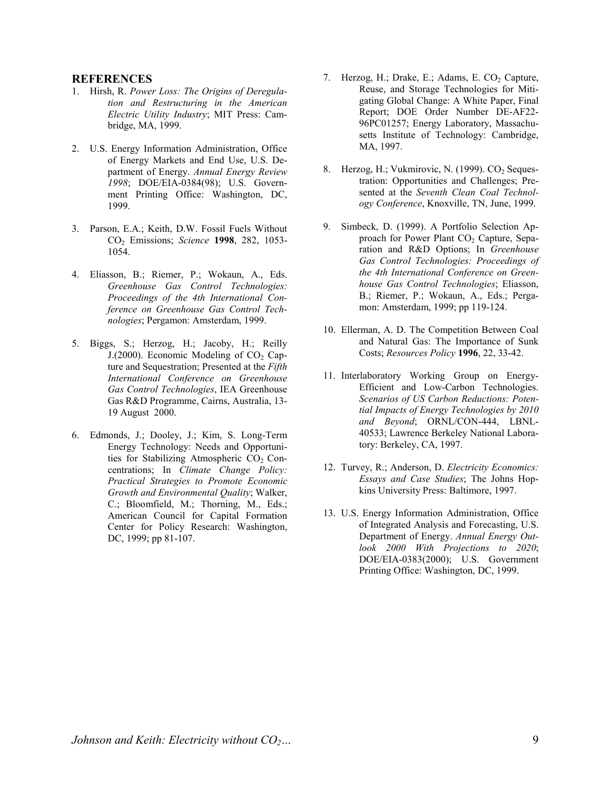#### **REFERENCES**

- 1. Hirsh, R. *Power Loss: The Origins of Deregulation and Restructuring in the American Electric Utility Industry*; MIT Press: Cambridge, MA, 1999.
- 2. U.S. Energy Information Administration, Office of Energy Markets and End Use, U.S. Department of Energy. *Annual Energy Review 1998*; DOE/EIA-0384(98); U.S. Government Printing Office: Washington, DC, 1999.
- 3. Parson, E.A.; Keith, D.W. Fossil Fuels Without CO2 Emissions; *Science* **1998**, 282, 1053- 1054.
- 4. Eliasson, B.; Riemer, P.; Wokaun, A., Eds. *Greenhouse Gas Control Technologies: Proceedings of the 4th International Conference on Greenhouse Gas Control Technologies*; Pergamon: Amsterdam, 1999.
- 5. Biggs, S.; Herzog, H.; Jacoby, H.; Reilly J.(2000). Economic Modeling of  $CO<sub>2</sub> Cap$ ture and Sequestration; Presented at the *Fifth International Conference on Greenhouse Gas Control Technologies*, IEA Greenhouse Gas R&D Programme, Cairns, Australia, 13- 19 August 2000.
- 6. Edmonds, J.; Dooley, J.; Kim, S. Long-Term Energy Technology: Needs and Opportunities for Stabilizing Atmospheric  $CO<sub>2</sub>$  Concentrations; In *Climate Change Policy: Practical Strategies to Promote Economic Growth and Environmental Quality*; Walker, C.; Bloomfield, M.; Thorning, M., Eds.; American Council for Capital Formation Center for Policy Research: Washington, DC, 1999; pp 81-107.
- 7. Herzog, H.; Drake, E.; Adams, E. CO<sub>2</sub> Capture, Reuse, and Storage Technologies for Mitigating Global Change: A White Paper, Final Report; DOE Order Number DE-AF22- 96PC01257; Energy Laboratory, Massachusetts Institute of Technology: Cambridge, MA, 1997.
- 8. Herzog, H.; Vukmirovic, N. (1999). CO<sub>2</sub> Sequestration: Opportunities and Challenges; Presented at the *Seventh Clean Coal Technology Conference*, Knoxville, TN, June, 1999.
- 9. Simbeck, D. (1999). A Portfolio Selection Approach for Power Plant CO<sub>2</sub> Capture, Separation and R&D Options; In *Greenhouse Gas Control Technologies: Proceedings of the 4th International Conference on Greenhouse Gas Control Technologies*; Eliasson, B.; Riemer, P.; Wokaun, A., Eds.; Pergamon: Amsterdam, 1999; pp 119-124.
- 10. Ellerman, A. D. The Competition Between Coal and Natural Gas: The Importance of Sunk Costs; *Resources Policy* **1996**, 22, 33-42.
- 11. Interlaboratory Working Group on Energy-Efficient and Low-Carbon Technologies. *Scenarios of US Carbon Reductions: Potential Impacts of Energy Technologies by 2010 and Beyond*; ORNL/CON-444, LBNL-40533; Lawrence Berkeley National Laboratory: Berkeley, CA, 1997.
- 12. Turvey, R.; Anderson, D. *Electricity Economics: Essays and Case Studies*; The Johns Hopkins University Press: Baltimore, 1997.
- 13. U.S. Energy Information Administration, Office of Integrated Analysis and Forecasting, U.S. Department of Energy. *Annual Energy Outlook 2000 With Projections to 2020*; DOE/EIA-0383(2000); U.S. Government Printing Office: Washington, DC, 1999.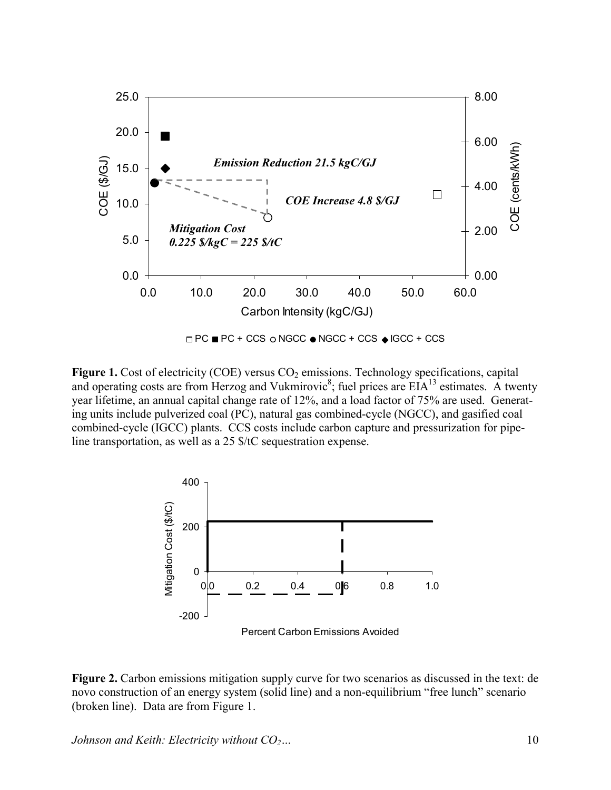

**Figure 1.** Cost of electricity (COE) versus CO<sub>2</sub> emissions. Technology specifications, capital and operating costs are from Herzog and Vukmirovic<sup>8</sup>; fuel prices are  $EIA<sup>13</sup>$  estimates. A twenty year lifetime, an annual capital change rate of 12%, and a load factor of 75% are used. Generating units include pulverized coal (PC), natural gas combined-cycle (NGCC), and gasified coal combined-cycle (IGCC) plants. CCS costs include carbon capture and pressurization for pipeline transportation, as well as a 25 \$/tC sequestration expense.



**Figure 2.** Carbon emissions mitigation supply curve for two scenarios as discussed in the text: de novo construction of an energy system (solid line) and a non-equilibrium "free lunch" scenario (broken line). Data are from Figure 1.

*Johnson and Keith: Electricity without*  $CO<sub>2</sub>...$  10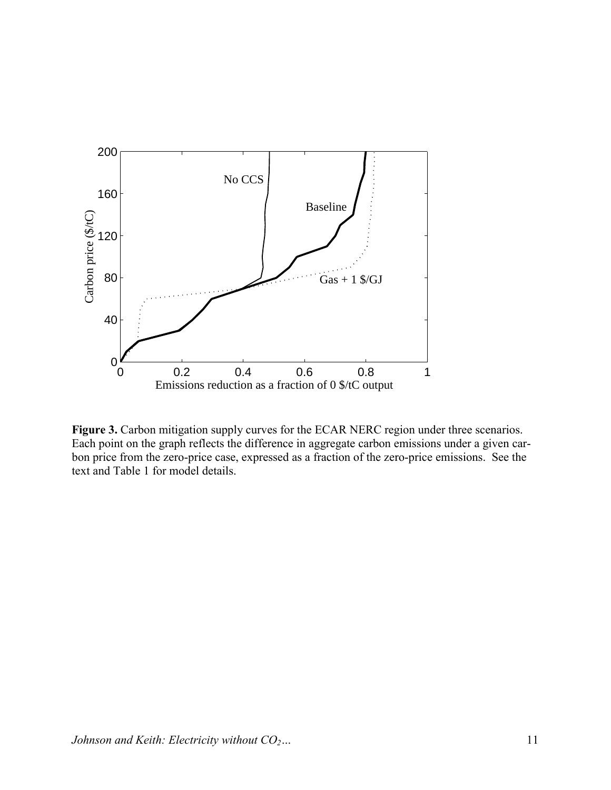

**Figure 3.** Carbon mitigation supply curves for the ECAR NERC region under three scenarios. Each point on the graph reflects the difference in aggregate carbon emissions under a given carbon price from the zero-price case, expressed as a fraction of the zero-price emissions. See the text and Table 1 for model details.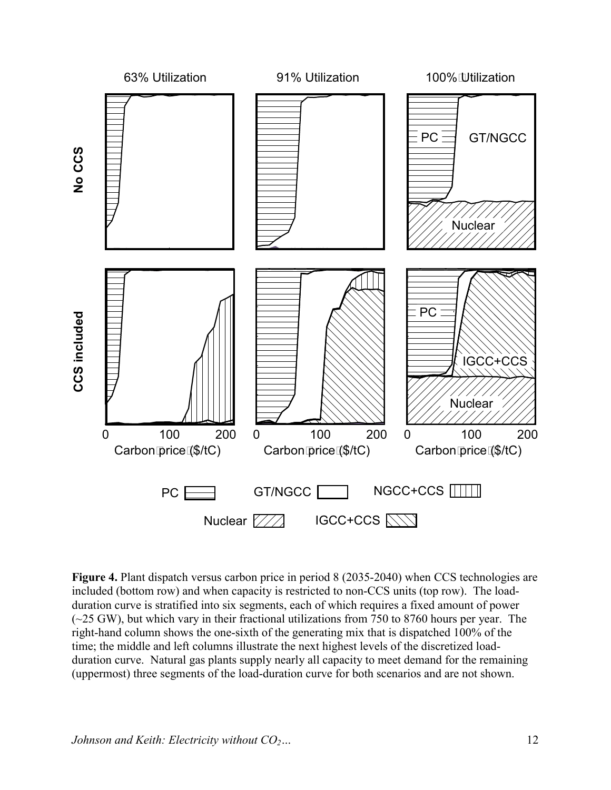

**Figure 4.** Plant dispatch versus carbon price in period 8 (2035-2040) when CCS technologies are included (bottom row) and when capacity is restricted to non-CCS units (top row). The loadduration curve is stratified into six segments, each of which requires a fixed amount of power  $(-25 \text{ GW})$ , but which vary in their fractional utilizations from 750 to 8760 hours per year. The right-hand column shows the one-sixth of the generating mix that is dispatched 100% of the time; the middle and left columns illustrate the next highest levels of the discretized loadduration curve. Natural gas plants supply nearly all capacity to meet demand for the remaining (uppermost) three segments of the load-duration curve for both scenarios and are not shown.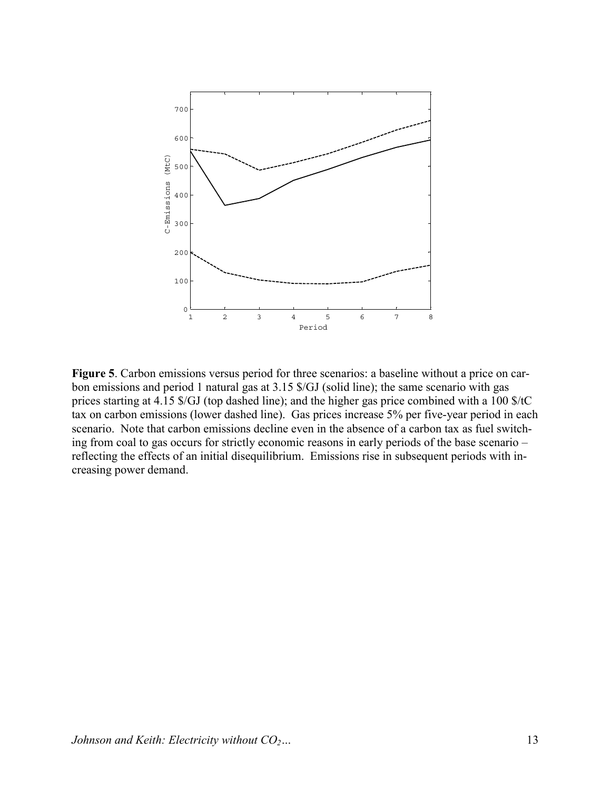

**Figure 5**. Carbon emissions versus period for three scenarios: a baseline without a price on carbon emissions and period 1 natural gas at 3.15 \$/GJ (solid line); the same scenario with gas prices starting at 4.15 \$/GJ (top dashed line); and the higher gas price combined with a 100 \$/tC tax on carbon emissions (lower dashed line). Gas prices increase 5% per five-year period in each scenario. Note that carbon emissions decline even in the absence of a carbon tax as fuel switching from coal to gas occurs for strictly economic reasons in early periods of the base scenario – reflecting the effects of an initial disequilibrium. Emissions rise in subsequent periods with increasing power demand.